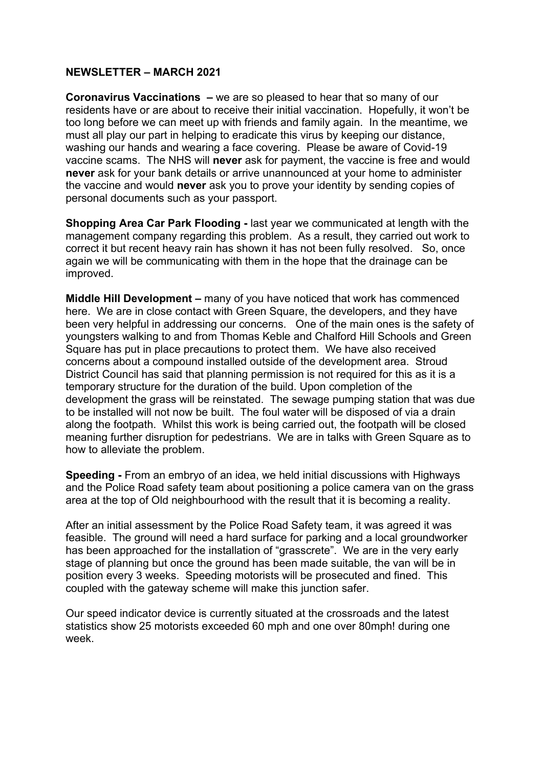## **NEWSLETTER – MARCH 2021**

**Coronavirus Vaccinations –** we are so pleased to hear that so many of our residents have or are about to receive their initial vaccination. Hopefully, it won't be too long before we can meet up with friends and family again. In the meantime, we must all play our part in helping to eradicate this virus by keeping our distance, washing our hands and wearing a face covering. Please be aware of Covid-19 vaccine scams. The NHS will **never** ask for payment, the vaccine is free and would **never** ask for your bank details or arrive unannounced at your home to administer the vaccine and would **never** ask you to prove your identity by sending copies of personal documents such as your passport.

**Shopping Area Car Park Flooding -** last year we communicated at length with the management company regarding this problem. As a result, they carried out work to correct it but recent heavy rain has shown it has not been fully resolved. So, once again we will be communicating with them in the hope that the drainage can be improved.

**Middle Hill Development –** many of you have noticed that work has commenced here. We are in close contact with Green Square, the developers, and they have been very helpful in addressing our concerns. One of the main ones is the safety of youngsters walking to and from Thomas Keble and Chalford Hill Schools and Green Square has put in place precautions to protect them. We have also received concerns about a compound installed outside of the development area. Stroud District Council has said that planning permission is not required for this as it is a temporary structure for the duration of the build. Upon completion of the development the grass will be reinstated. The sewage pumping station that was due to be installed will not now be built. The foul water will be disposed of via a drain along the footpath. Whilst this work is being carried out, the footpath will be closed meaning further disruption for pedestrians. We are in talks with Green Square as to how to alleviate the problem.

**Speeding -** From an embryo of an idea, we held initial discussions with Highways and the Police Road safety team about positioning a police camera van on the grass area at the top of Old neighbourhood with the result that it is becoming a reality.

After an initial assessment by the Police Road Safety team, it was agreed it was feasible. The ground will need a hard surface for parking and a local groundworker has been approached for the installation of "grasscrete". We are in the very early stage of planning but once the ground has been made suitable, the van will be in position every 3 weeks. Speeding motorists will be prosecuted and fined. This coupled with the gateway scheme will make this junction safer.

Our speed indicator device is currently situated at the crossroads and the latest statistics show 25 motorists exceeded 60 mph and one over 80mph! during one week.